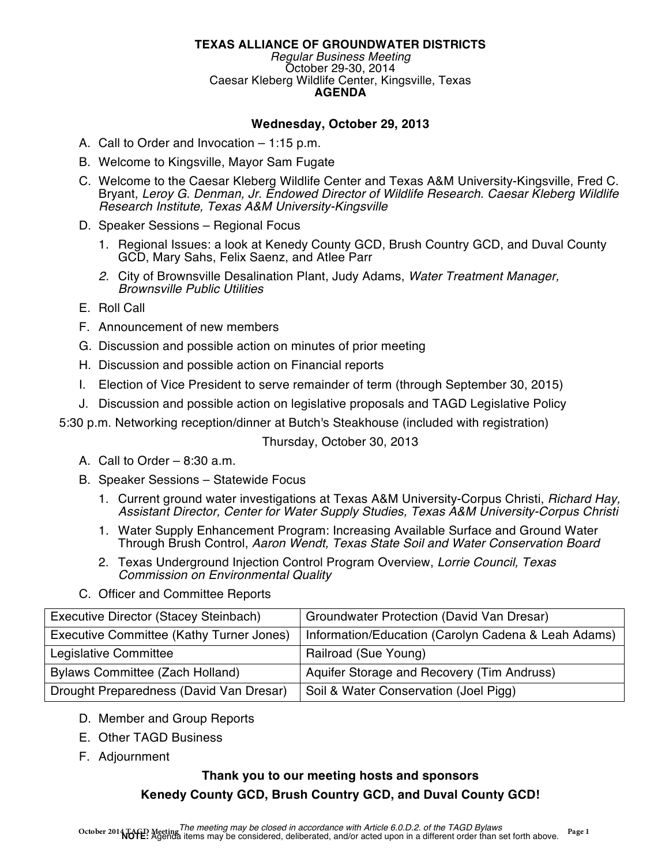# **TEXAS ALLIANCE OF GROUNDWATER DISTRICTS**

*Regular Business Meeting* October 29-30, 2014 Caesar Kleberg Wildlife Center, Kingsville, Texas **AGENDA**

# **Wednesday, October 29, 2013**

- A. Call to Order and Invocation 1:15 p.m.
- B. Welcome to Kingsville, Mayor Sam Fugate
- C. Welcome to the Caesar Kleberg Wildlife Center and Texas A&M University-Kingsville, Fred C. Bryant, *Leroy G. Denman, Jr. Endowed Director of Wildlife Research. Caesar Kleberg Wildlife Research Institute, Texas A&M University-Kingsville*
- D. Speaker Sessions Regional Focus
	- 1. Regional Issues: a look at Kenedy County GCD, Brush Country GCD, and Duval County GCD, Mary Sahs, Felix Saenz, and Atlee Parr
	- *2.* City of Brownsville Desalination Plant, Judy Adams, *Water Treatment Manager, Brownsville Public Utilities*
- E. Roll Call
- F. Announcement of new members
- G. Discussion and possible action on minutes of prior meeting
- H. Discussion and possible action on Financial reports
- I. Election of Vice President to serve remainder of term (through September 30, 2015)
- J. Discussion and possible action on legislative proposals and TAGD Legislative Policy

5:30 p.m. Networking reception/dinner at Butch's Steakhouse (included with registration)

Thursday, October 30, 2013

- A. Call to Order 8:30 a.m.
- B. Speaker Sessions Statewide Focus
	- 1. Current ground water investigations at Texas A&M University-Corpus Christi, *Richard Hay, Assistant Director, Center for Water Supply Studies, Texas A&M University-Corpus Christi*
	- 1. Water Supply Enhancement Program: Increasing Available Surface and Ground Water Through Brush Control, *Aaron Wendt, Texas State Soil and Water Conservation Board*
	- 2. Texas Underground Injection Control Program Overview, *Lorrie Council, Texas Commission on Environmental Quality*
- C. Officer and Committee Reports

| Executive Director (Stacey Steinbach)    | Groundwater Protection (David Van Dresar)           |
|------------------------------------------|-----------------------------------------------------|
| Executive Committee (Kathy Turner Jones) | Information/Education (Carolyn Cadena & Leah Adams) |
| Legislative Committee                    | Railroad (Sue Young)                                |
| Bylaws Committee (Zach Holland)          | Aquifer Storage and Recovery (Tim Andruss)          |
| Drought Preparedness (David Van Dresar)  | Soil & Water Conservation (Joel Pigg)               |

- D. Member and Group Reports
- E. Other TAGD Business
- F. Adjournment

# **Thank you to our meeting hosts and sponsors Kenedy County GCD, Brush Country GCD, and Duval County GCD!**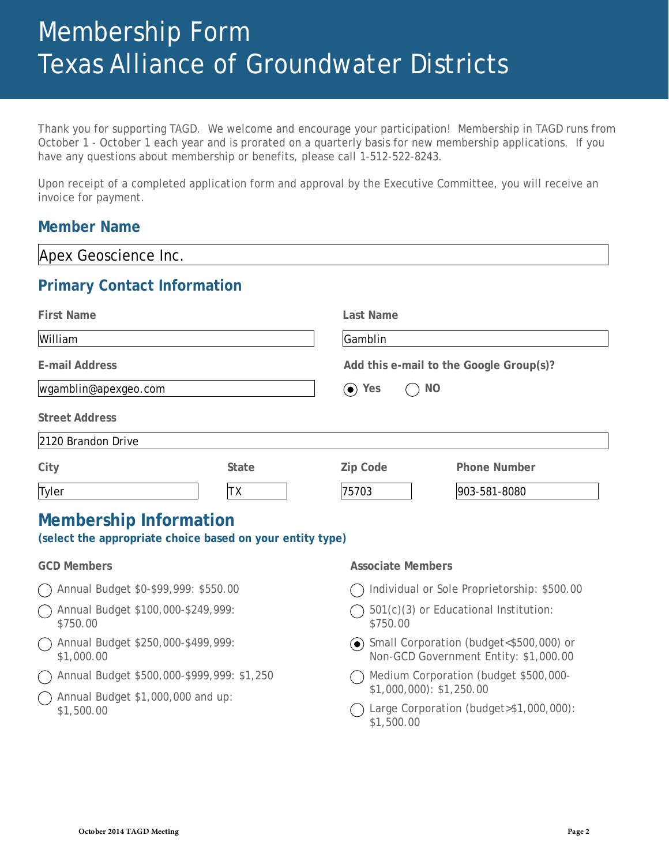# Membership Form Texas Alliance of Groundwater Districts

Thank you for supporting TAGD. We welcome and encourage your participation! Membership in TAGD runs from October 1 - October 1 each year and is prorated on a quarterly basis for new membership applications. If you have any questions about membership or benefits, please call 1-512-522-8243.

Upon receipt of a completed application form and approval by the Executive Committee, you will receive an invoice for payment.

# **Member Name**

| Apex Geoscience Inc.                                                                       |                  |                                                                                    |                     |  |  |
|--------------------------------------------------------------------------------------------|------------------|------------------------------------------------------------------------------------|---------------------|--|--|
| <b>Primary Contact Information</b>                                                         |                  |                                                                                    |                     |  |  |
| <b>First Name</b>                                                                          | <b>Last Name</b> |                                                                                    |                     |  |  |
| William                                                                                    |                  | Gamblin                                                                            |                     |  |  |
| <b>E-mail Address</b>                                                                      |                  | Add this e-mail to the Google Group(s)?                                            |                     |  |  |
| wgamblin@apexgeo.com                                                                       |                  | <b>NO</b><br>$\odot$ Yes                                                           |                     |  |  |
| <b>Street Address</b>                                                                      |                  |                                                                                    |                     |  |  |
| 2120 Brandon Drive                                                                         |                  |                                                                                    |                     |  |  |
| City                                                                                       | <b>State</b>     | <b>Zip Code</b>                                                                    | <b>Phone Number</b> |  |  |
| Tyler                                                                                      | <b>TX</b>        | 75703                                                                              | 903-581-8080        |  |  |
| <b>Membership Information</b><br>(select the appropriate choice based on your entity type) |                  |                                                                                    |                     |  |  |
| <b>GCD Members</b>                                                                         |                  | <b>Associate Members</b>                                                           |                     |  |  |
| Annual Budget \$0-\$99,999: \$550.00                                                       |                  | Individual or Sole Proprietorship: \$500.00                                        |                     |  |  |
| Annual Budget \$100,000-\$249,999:<br>\$750.00                                             |                  | 501(c)(3) or Educational Institution:<br>\$750.00                                  |                     |  |  |
| Annual Budget \$250,000-\$499,999:<br>\$1,000.00                                           |                  | ◯ Small Corporation (budget<\$500,000) or<br>Non-GCD Government Entity: \$1,000.00 |                     |  |  |
| Annual Budget \$500,000-\$999,999: \$1,250<br>$(\quad)$                                    |                  | Medium Corporation (budget \$500,000-                                              |                     |  |  |
| Annual Budget \$1,000,000 and up:<br>\$1,500.00                                            |                  | $$1,000,000$ : \$1,250.00<br>Large Corporation (budget>\$1,000,000):<br>\$1,500.00 |                     |  |  |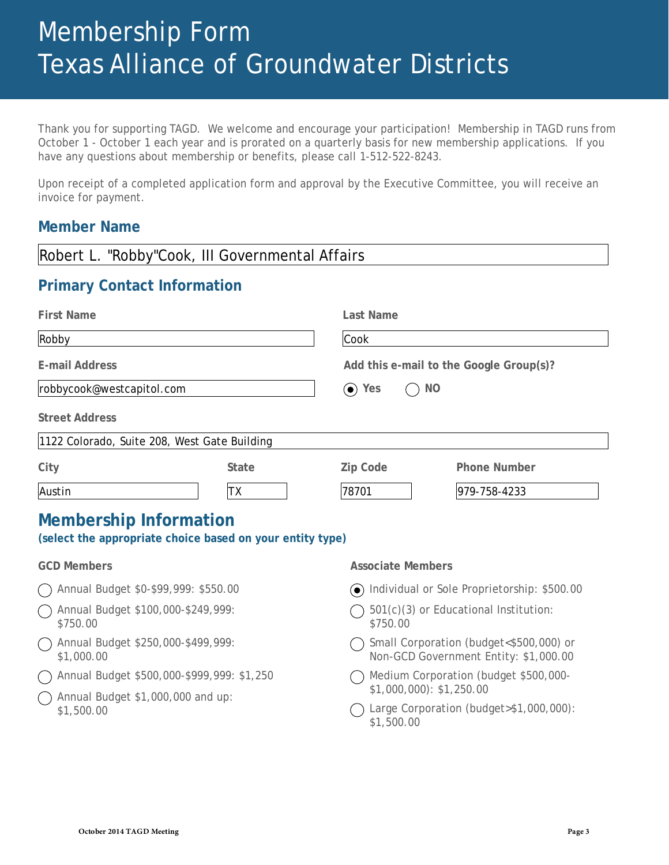# Membership Form Texas Alliance of Groundwater Districts

Thank you for supporting TAGD. We welcome and encourage your participation! Membership in TAGD runs from October 1 - October 1 each year and is prorated on a quarterly basis for new membership applications. If you have any questions about membership or benefits, please call 1-512-522-8243.

Upon receipt of a completed application form and approval by the Executive Committee, you will receive an invoice for payment.

# **Member Name**

| Robert L. "Robby"Cook, III Governmental Affairs                                            |                                                                                  |  |
|--------------------------------------------------------------------------------------------|----------------------------------------------------------------------------------|--|
| <b>Primary Contact Information</b>                                                         |                                                                                  |  |
| <b>First Name</b>                                                                          | <b>Last Name</b>                                                                 |  |
| Robby                                                                                      | Cook                                                                             |  |
| <b>E-mail Address</b>                                                                      | Add this e-mail to the Google Group(s)?                                          |  |
| robbycook@westcapitol.com                                                                  | $\odot$ Yes<br><b>NO</b>                                                         |  |
| <b>Street Address</b>                                                                      |                                                                                  |  |
| 1122 Colorado, Suite 208, West Gate Building                                               |                                                                                  |  |
| City<br><b>State</b>                                                                       | Zip Code<br><b>Phone Number</b>                                                  |  |
| Austin<br>ТX                                                                               | 78701<br>979-758-4233                                                            |  |
| <b>Membership Information</b><br>(select the appropriate choice based on your entity type) |                                                                                  |  |
| <b>GCD Members</b>                                                                         | <b>Associate Members</b>                                                         |  |
| Annual Budget \$0-\$99,999: \$550.00                                                       | O Individual or Sole Proprietorship: \$500.00                                    |  |
| Annual Budget \$100,000-\$249,999:<br>\$750.00                                             | 501(c)(3) or Educational Institution:<br>\$750.00                                |  |
| Annual Budget \$250,000-\$499,999:<br>\$1,000.00                                           | Small Corporation (budget<\$500,000) or<br>Non-GCD Government Entity: \$1,000.00 |  |
| Annual Budget \$500,000-\$999,999: \$1,250                                                 | Medium Corporation (budget \$500,000-<br>$$1,000,000$ : \$1,250.00               |  |
| Annual Budget \$1,000,000 and up:<br>\$1,500.00                                            | Large Corporation (budget>\$1,000,000):<br>\$1,500.00                            |  |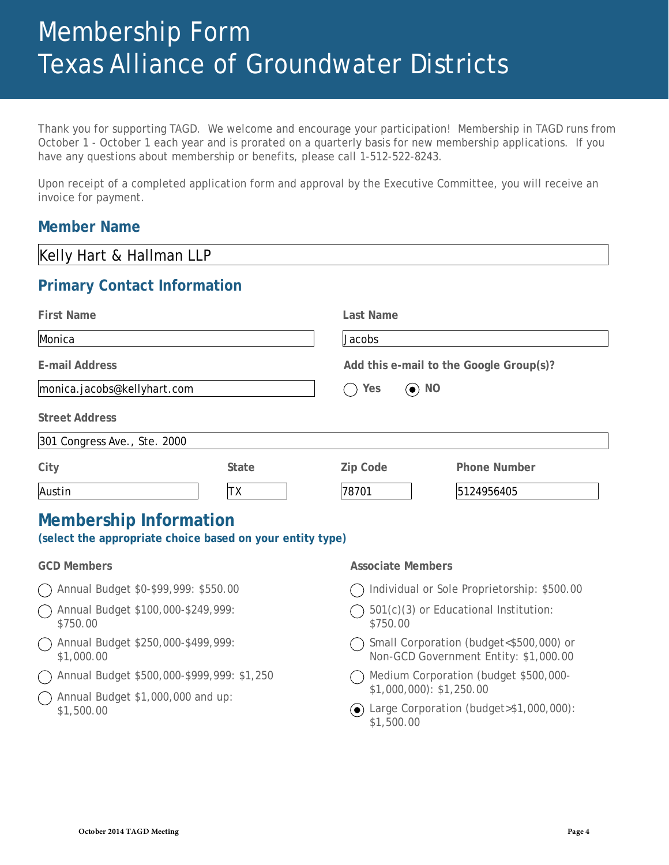# Membership Form Texas Alliance of Groundwater Districts

Thank you for supporting TAGD. We welcome and encourage your participation! Membership in TAGD runs from October 1 - October 1 each year and is prorated on a quarterly basis for new membership applications. If you have any questions about membership or benefits, please call 1-512-522-8243.

Upon receipt of a completed application form and approval by the Executive Committee, you will receive an invoice for payment.

# **Member Name**

| Kelly Hart & Hallman LLP                                                                   |                                                                                  |  |  |  |
|--------------------------------------------------------------------------------------------|----------------------------------------------------------------------------------|--|--|--|
| <b>Primary Contact Information</b>                                                         |                                                                                  |  |  |  |
| <b>First Name</b>                                                                          | <b>Last Name</b>                                                                 |  |  |  |
| Monica                                                                                     | Jacobs                                                                           |  |  |  |
| <b>E-mail Address</b>                                                                      | Add this e-mail to the Google Group(s)?                                          |  |  |  |
| monica.jacobs@kellyhart.com                                                                | $\odot$ NO<br>Yes                                                                |  |  |  |
| <b>Street Address</b>                                                                      |                                                                                  |  |  |  |
| 301 Congress Ave., Ste. 2000                                                               |                                                                                  |  |  |  |
| City<br><b>State</b>                                                                       | Zip Code<br><b>Phone Number</b>                                                  |  |  |  |
| Austin<br>ТX                                                                               | 78701<br>5124956405                                                              |  |  |  |
| <b>Membership Information</b><br>(select the appropriate choice based on your entity type) |                                                                                  |  |  |  |
| <b>GCD Members</b>                                                                         | <b>Associate Members</b>                                                         |  |  |  |
| Annual Budget \$0-\$99,999: \$550.00                                                       | Individual or Sole Proprietorship: \$500.00                                      |  |  |  |
| Annual Budget \$100,000-\$249,999:<br>\$750.00                                             | 501(c)(3) or Educational Institution:<br>\$750.00                                |  |  |  |
| Annual Budget \$250,000-\$499,999:<br>\$1,000.00                                           | Small Corporation (budget<\$500,000) or<br>Non-GCD Government Entity: \$1,000.00 |  |  |  |
| Annual Budget \$500,000-\$999,999: \$1,250<br>Annual Budget \$1,000,000 and up:            | Medium Corporation (budget \$500,000-<br>$$1,000,000$ : \$1,250.00               |  |  |  |
| \$1,500.00                                                                                 | ◯ Large Corporation (budget>\$1,000,000):                                        |  |  |  |

Large Corporation (budget>\$1,000,000): \$1,500.00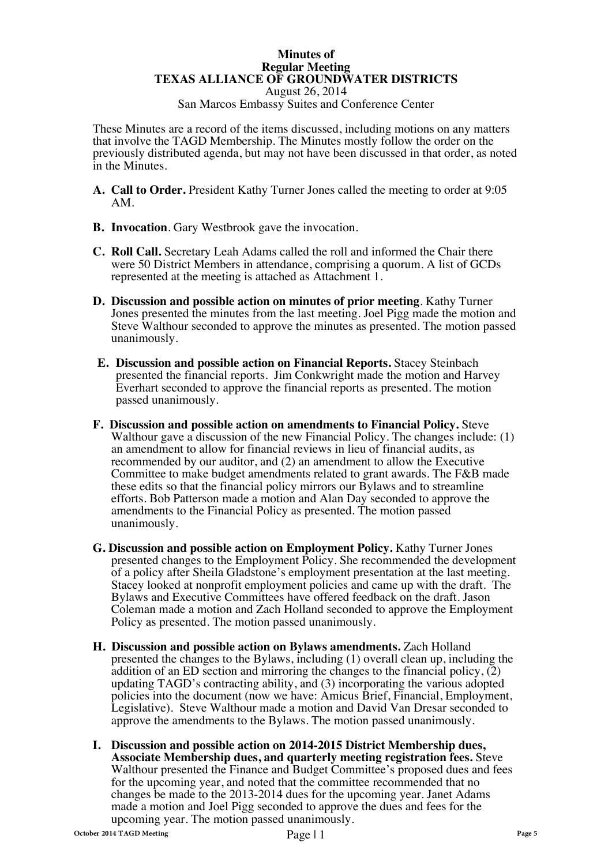## **Minutes of Regular Meeting TEXAS ALLIANCE OF GROUNDWATER DISTRICTS**

August 26, 2014

San Marcos Embassy Suites and Conference Center

These Minutes are a record of the items discussed, including motions on any matters that involve the TAGD Membership. The Minutes mostly follow the order on the previously distributed agenda, but may not have been discussed in that order, as noted in the Minutes.

- **A. Call to Order.** President Kathy Turner Jones called the meeting to order at 9:05 AM.
- **B. Invocation**. Gary Westbrook gave the invocation.
- **C. Roll Call.** Secretary Leah Adams called the roll and informed the Chair there were 50 District Members in attendance, comprising a quorum. A list of GCDs represented at the meeting is attached as Attachment 1.
- **D. Discussion and possible action on minutes of prior meeting**. Kathy Turner Jones presented the minutes from the last meeting. Joel Pigg made the motion and Steve Walthour seconded to approve the minutes as presented. The motion passed unanimously.
- **E. Discussion and possible action on Financial Reports.** Stacey Steinbach presented the financial reports. Jim Conkwright made the motion and Harvey Everhart seconded to approve the financial reports as presented. The motion passed unanimously.
- **F. Discussion and possible action on amendments to Financial Policy.** Steve Walthour gave a discussion of the new Financial Policy. The changes include: (1) an amendment to allow for financial reviews in lieu of financial audits, as recommended by our auditor, and (2) an amendment to allow the Executive Committee to make budget amendments related to grant awards. The F&B made these edits so that the financial policy mirrors our Bylaws and to streamline efforts. Bob Patterson made a motion and Alan Day seconded to approve the amendments to the Financial Policy as presented. The motion passed unanimously.
- **G. Discussion and possible action on Employment Policy.** Kathy Turner Jones presented changes to the Employment Policy. She recommended the development of a policy after Sheila Gladstone's employment presentation at the last meeting. Stacey looked at nonprofit employment policies and came up with the draft. The Bylaws and Executive Committees have offered feedback on the draft. Jason Coleman made a motion and Zach Holland seconded to approve the Employment Policy as presented. The motion passed unanimously.
- **H. Discussion and possible action on Bylaws amendments.** Zach Holland presented the changes to the Bylaws, including (1) overall clean up, including the addition of an ED section and mirroring the changes to the financial policy,  $(2)$ updating TAGD's contracting ability, and (3) incorporating the various adopted policies into the document (now we have: Amicus Brief, Financial, Employment, Legislative). Steve Walthour made a motion and David Van Dresar seconded to approve the amendments to the Bylaws. The motion passed unanimously.
- **I. Discussion and possible action on 2014-2015 District Membership dues, Associate Membership dues, and quarterly meeting registration fees.** Steve Walthour presented the Finance and Budget Committee's proposed dues and fees for the upcoming year, and noted that the committee recommended that no changes be made to the 2013-2014 dues for the upcoming year. Janet Adams made a motion and Joel Pigg seconded to approve the dues and fees for the upcoming year. The motion passed unanimously.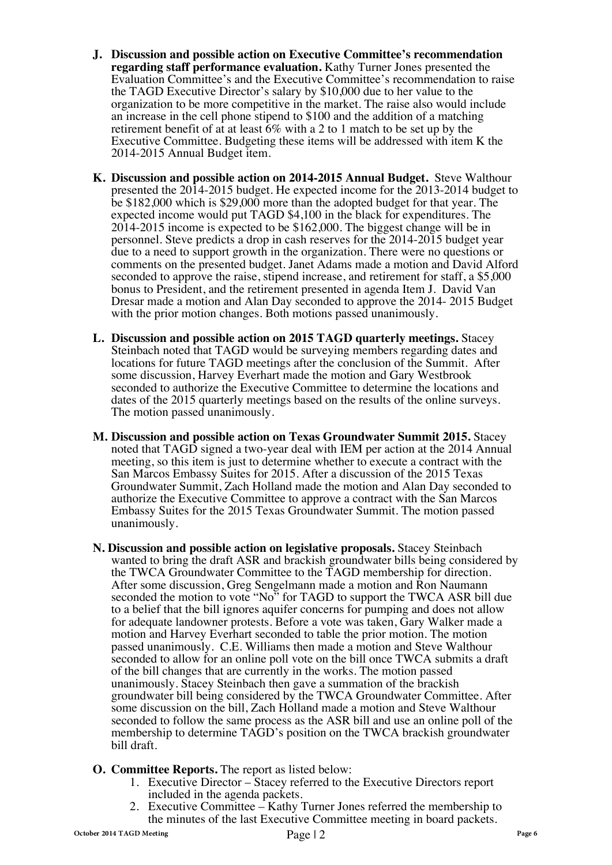- **J. Discussion and possible action on Executive Committee's recommendation regarding staff performance evaluation.** Kathy Turner Jones presented the Evaluation Committee's and the Executive Committee's recommendation to raise the TAGD Executive Director's salary by \$10,000 due to her value to the organization to be more competitive in the market. The raise also would include an increase in the cell phone stipend to \$100 and the addition of a matching retirement benefit of at at least 6% with a 2 to 1 match to be set up by the Executive Committee. Budgeting these items will be addressed with item K the 2014-2015 Annual Budget item.
- **K. Discussion and possible action on 2014-2015 Annual Budget.** Steve Walthour presented the 2014-2015 budget. He expected income for the 2013-2014 budget to be \$182,000 which is \$29,000 more than the adopted budget for that year. The expected income would put TAGD \$4,100 in the black for expenditures. The 2014-2015 income is expected to be \$162,000. The biggest change will be in personnel. Steve predicts a drop in cash reserves for the 2014-2015 budget year due to a need to support growth in the organization. There were no questions or comments on the presented budget. Janet Adams made a motion and David Alford seconded to approve the raise, stipend increase, and retirement for staff, a \$5,000 bonus to President, and the retirement presented in agenda Item J. David Van Dresar made a motion and Alan Day seconded to approve the 2014- 2015 Budget with the prior motion changes. Both motions passed unanimously.
- **L. Discussion and possible action on 2015 TAGD quarterly meetings.** Stacey Steinbach noted that TAGD would be surveying members regarding dates and locations for future TAGD meetings after the conclusion of the Summit. After some discussion, Harvey Everhart made the motion and Gary Westbrook seconded to authorize the Executive Committee to determine the locations and dates of the 2015 quarterly meetings based on the results of the online surveys. The motion passed unanimously.
- **M. Discussion and possible action on Texas Groundwater Summit 2015.** Stacey noted that TAGD signed a two-year deal with IEM per action at the 2014 Annual meeting, so this item is just to determine whether to execute a contract with the San Marcos Embassy Suites for 2015. After a discussion of the 2015 Texas Groundwater Summit, Zach Holland made the motion and Alan Day seconded to authorize the Executive Committee to approve a contract with the San Marcos Embassy Suites for the 2015 Texas Groundwater Summit. The motion passed unanimously.
- **N. Discussion and possible action on legislative proposals.** Stacey Steinbach wanted to bring the draft ASR and brackish groundwater bills being considered by the TWCA Groundwater Committee to the TAGD membership for direction. After some discussion, Greg Sengelmann made a motion and Ron Naumann seconded the motion to vote "No" for TAGD to support the TWCA ASR bill due to a belief that the bill ignores aquifer concerns for pumping and does not allow for adequate landowner protests. Before a vote was taken, Gary Walker made a motion and Harvey Everhart seconded to table the prior motion. The motion passed unanimously. C.E. Williams then made a motion and Steve Walthour seconded to allow for an online poll vote on the bill once TWCA submits a draft of the bill changes that are currently in the works. The motion passed unanimously. Stacey Steinbach then gave a summation of the brackish groundwater bill being considered by the TWCA Groundwater Committee. After some discussion on the bill, Zach Holland made a motion and Steve Walthour seconded to follow the same process as the ASR bill and use an online poll of the membership to determine TAGD's position on the TWCA brackish groundwater bill draft.
- **O. Committee Reports.** The report as listed below:
	- 1. Executive Director Stacey referred to the Executive Directors report included in the agenda packets.
	- 2. Executive Committee Kathy Turner Jones referred the membership to the minutes of the last Executive Committee meeting in board packets.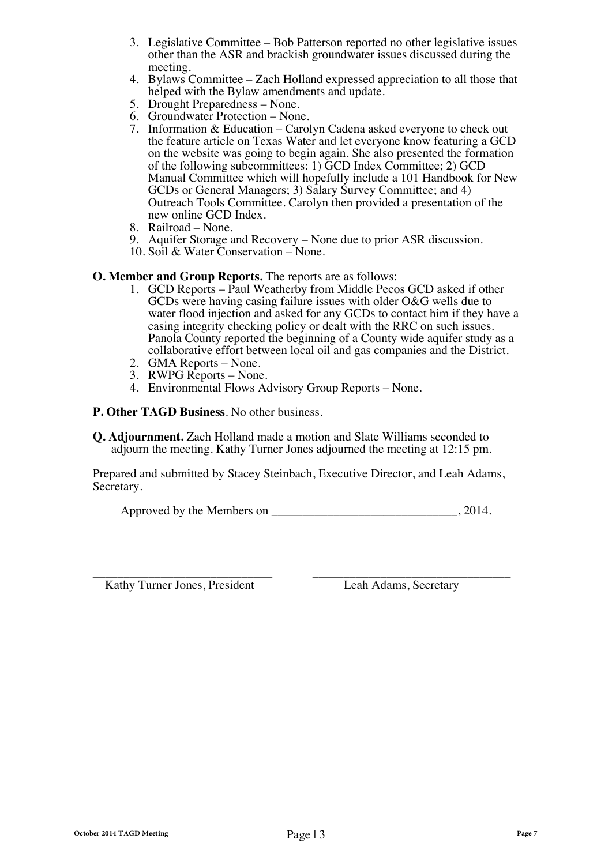- 3. Legislative Committee Bob Patterson reported no other legislative issues other than the ASR and brackish groundwater issues discussed during the meeting.
- 4. Bylaws Committee Zach Holland expressed appreciation to all those that helped with the Bylaw amendments and update.<br>5. Drought Preparedness – None.
- 
- 
- 6. Groundwater Protection None.<br>7. Information & Education Carolyn Cadena asked everyone to check out the feature article on Texas Water and let everyone know featuring a GCD on the website was going to begin again. She also presented the formation of the following subcommittees: 1) GCD Index Committee; 2) GCD Manual Committee which will hopefully include a 101 Handbook for New GCDs or General Managers; 3) Salary Survey Committee; and 4) Outreach Tools Committee. Carolyn then provided a presentation of the new online GCD Index.<br>8. Railroad – None.
- 
- 9. Aquifer Storage and Recovery None due to prior ASR discussion.<br>10. Soil & Water Conservation None.
- 

# **O. Member and Group Reports.** The reports are as follows:

- 1. GCD Reports Paul Weatherby from Middle Pecos GCD asked if other GCDs were having casing failure issues with older O&G wells due to water flood injection and asked for any GCDs to contact him if they have a casing integrity checking policy or dealt with the RRC on such issues. Panola County reported the beginning of a County wide aquifer study as a collaborative effort between local oil and gas companies and the District.<br>2. GMA Reports – None.
- 
- 
- 2. RWPG Reports None.<br>4. Environmental Flows Advisory Group Reports None.

**P. Other TAGD Business**. No other business.

**Q. Adjournment.** Zach Holland made a motion and Slate Williams seconded to adjourn the meeting. Kathy Turner Jones adjourned the meeting at 12:15 pm.

Prepared and submitted by Stacey Steinbach, Executive Director, and Leah Adams, Secretary.

Approved by the Members on \_\_\_\_\_\_\_\_\_\_\_\_\_\_\_\_\_\_\_\_\_\_\_\_\_\_\_\_\_\_, 2014.

Kathy Turner Jones, President Leah Adams, Secretary

\_\_\_\_\_\_\_\_\_\_\_\_\_\_\_\_\_\_\_\_\_\_\_\_\_\_\_\_\_ \_\_\_\_\_\_\_\_\_\_\_\_\_\_\_\_\_\_\_\_\_\_\_\_\_\_\_\_\_\_\_\_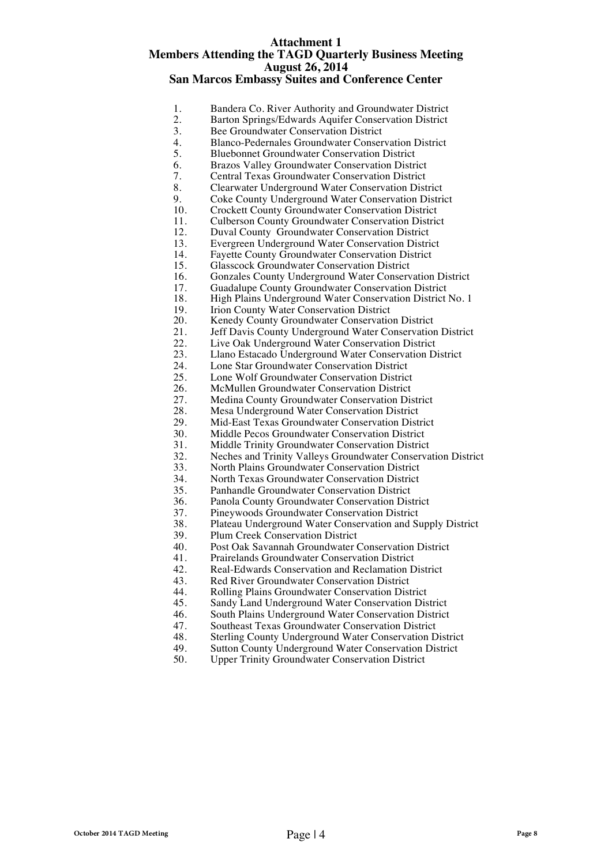### **Attachment 1 Members Attending the TAGD Quarterly Business Meeting August 26, 2014 San Marcos Embassy Suites and Conference Center**

| 1.  | Bandera Co. River Authority and Groundwater District         |
|-----|--------------------------------------------------------------|
| 2.  | Barton Springs/Edwards Aquifer Conservation District         |
| 3.  | <b>Bee Groundwater Conservation District</b>                 |
| 4.  | <b>Blanco-Pedernales Groundwater Conservation District</b>   |
| 5.  | <b>Bluebonnet Groundwater Conservation District</b>          |
| 6.  | Brazos Valley Groundwater Conservation District              |
| 7.  | <b>Central Texas Groundwater Conservation District</b>       |
| 8.  | Clearwater Underground Water Conservation District           |
| 9.  | Coke County Underground Water Conservation District          |
| 10. | <b>Crockett County Groundwater Conservation District</b>     |
| 11. | <b>Culberson County Groundwater Conservation District</b>    |
| 12. | Duval County Groundwater Conservation District               |
| 13. | Evergreen Underground Water Conservation District            |
| 14. | <b>Fayette County Groundwater Conservation District</b>      |
| 15. | <b>Glasscock Groundwater Conservation District</b>           |
| 16. | Gonzales County Underground Water Conservation District      |
| 17. | Guadalupe County Groundwater Conservation District           |
| 18. | High Plains Underground Water Conservation District No. 1    |
| 19. | Irion County Water Conservation District                     |
| 20. | Kenedy County Groundwater Conservation District              |
| 21. | Jeff Davis County Underground Water Conservation District    |
| 22. | Live Oak Underground Water Conservation District             |
| 23. | Llano Estacado Underground Water Conservation District       |
| 24. | Lone Star Groundwater Conservation District                  |
| 25. | Lone Wolf Groundwater Conservation District                  |
| 26. | McMullen Groundwater Conservation District                   |
| 27. | Medina County Groundwater Conservation District              |
| 28. | Mesa Underground Water Conservation District                 |
| 29. | Mid-East Texas Groundwater Conservation District             |
| 30. | Middle Pecos Groundwater Conservation District               |
| 31. | Middle Trinity Groundwater Conservation District             |
| 32. | Neches and Trinity Valleys Groundwater Conservation District |
| 33. | North Plains Groundwater Conservation District               |
| 34. | North Texas Groundwater Conservation District                |
| 35. | Panhandle Groundwater Conservation District                  |
| 36. | Panola County Groundwater Conservation District              |
| 37. | Pineywoods Groundwater Conservation District                 |
| 38. | Plateau Underground Water Conservation and Supply District   |

38. Plateau Underground Water Conservation and Supply District

40. Post Oak Savannah Groundwater Conservation District

41. Prairelands Groundwater Conservation District<br>42. Real-Edwards Conservation and Reclamation D 42. Real-Edwards Conservation and Reclamation District<br>43. Red River Groundwater Conservation District 43. Red River Groundwater Conservation District<br>44. Rolling Plains Groundwater Conservation Dist 44. Rolling Plains Groundwater Conservation District<br>45. Sandy Land Underground Water Conservation Dis 45. Sandy Land Underground Water Conservation District<br>46. South Plains Underground Water Conservation District 46. South Plains Underground Water Conservation District<br>47. Southeast Texas Groundwater Conservation District 47. Southeast Texas Groundwater Conservation District<br>48. Sterling County Underground Water Conservation D 48. Sterling County Underground Water Conservation District<br>49. Sutton County Underground Water Conservation District 49. Sutton County Underground Water Conservation District<br>50. Upper Trinity Groundwater Conservation District Upper Trinity Groundwater Conservation District

39. Plum Creek Conservation District<br>40. Post Oak Savannah Groundwater (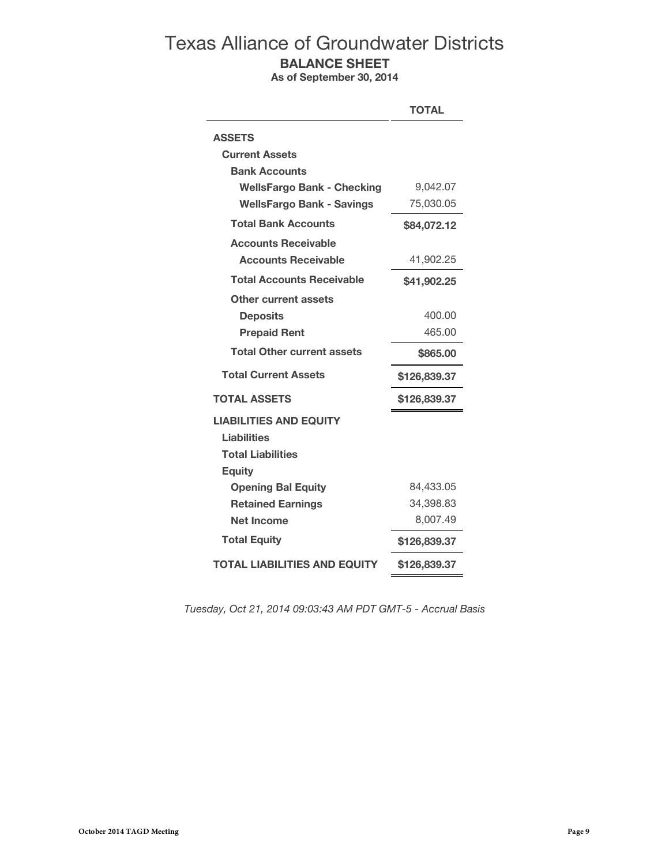# Texas Alliance of Groundwater Districts **BALANCE SHEET**

**As of September 30, 2014**

|                                     | <b>TOTAL</b> |
|-------------------------------------|--------------|
| <b>ASSETS</b>                       |              |
| <b>Current Assets</b>               |              |
| <b>Bank Accounts</b>                |              |
| <b>WellsFargo Bank - Checking</b>   | 9,042.07     |
| <b>WellsFargo Bank - Savings</b>    | 75,030.05    |
| <b>Total Bank Accounts</b>          | \$84,072.12  |
| <b>Accounts Receivable</b>          |              |
| <b>Accounts Receivable</b>          | 41,902.25    |
| <b>Total Accounts Receivable</b>    | \$41,902.25  |
| Other current assets                |              |
| <b>Deposits</b>                     | 400.00       |
| <b>Prepaid Rent</b>                 | 465.00       |
| <b>Total Other current assets</b>   | \$865.00     |
| <b>Total Current Assets</b>         | \$126,839.37 |
| <b>TOTAL ASSETS</b>                 | \$126,839.37 |
| <b>LIABILITIES AND EQUITY</b>       |              |
| <b>Liabilities</b>                  |              |
| <b>Total Liabilities</b>            |              |
| <b>Equity</b>                       |              |
| <b>Opening Bal Equity</b>           | 84,433.05    |
| <b>Retained Earnings</b>            | 34,398.83    |
| <b>Net Income</b>                   | 8,007.49     |
| <b>Total Equity</b>                 | \$126,839.37 |
| <b>TOTAL LIABILITIES AND EQUITY</b> | \$126,839.37 |

*Tuesday, Oct 21, 2014 09:03:43 AM PDT GMT-5 - Accrual Basis*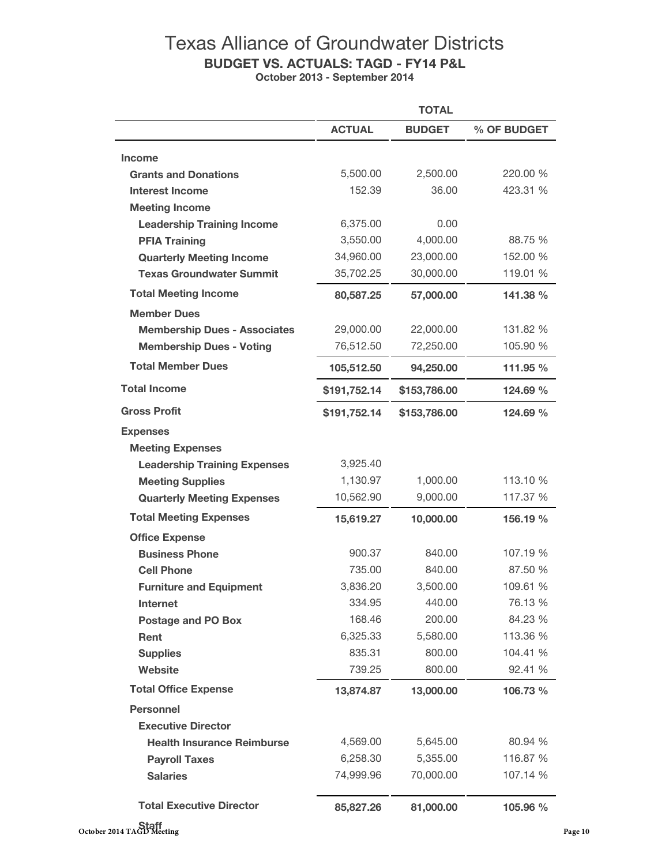# Texas Alliance of Groundwater Districts **BUDGET VS. ACTUALS: TAGD - FY14 P&L October 2013 - September 2014**

|                                     |               | <b>TOTAL</b>      |             |  |
|-------------------------------------|---------------|-------------------|-------------|--|
|                                     | <b>ACTUAL</b> | <b>BUDGET</b>     | % OF BUDGET |  |
| <b>Income</b>                       |               |                   |             |  |
| <b>Grants and Donations</b>         | 5,500.00      | 2,500.00          | 220.00 %    |  |
| <b>Interest Income</b>              | 152.39        | 36.00             | 423.31 %    |  |
| <b>Meeting Income</b>               |               |                   |             |  |
| <b>Leadership Training Income</b>   | 6,375.00      | 0.00              |             |  |
| <b>PFIA Training</b>                | 3,550.00      | 4,000.00          | 88.75 %     |  |
| <b>Quarterly Meeting Income</b>     | 34,960.00     | 23,000.00         | 152.00 %    |  |
| <b>Texas Groundwater Summit</b>     | 35,702.25     | 30,000.00         | 119.01 %    |  |
| <b>Total Meeting Income</b>         | 80,587.25     | 57,000.00         | 141.38 %    |  |
| <b>Member Dues</b>                  |               |                   |             |  |
| <b>Membership Dues - Associates</b> | 29,000.00     | 22,000.00         | 131.82 %    |  |
| <b>Membership Dues - Voting</b>     | 76,512.50     | 72,250.00         | 105.90 %    |  |
| <b>Total Member Dues</b>            | 105,512.50    | 94,250.00         | 111.95 %    |  |
| <b>Total Income</b>                 | \$191,752.14  | \$153,786.00      | 124.69 %    |  |
| <b>Gross Profit</b>                 | \$191,752.14  | \$153,786.00      | 124.69 %    |  |
| <b>Expenses</b>                     |               |                   |             |  |
| <b>Meeting Expenses</b>             |               |                   |             |  |
| <b>Leadership Training Expenses</b> | 3,925.40      |                   |             |  |
| <b>Meeting Supplies</b>             | 1,130.97      | 1,000.00          | 113.10 %    |  |
| <b>Quarterly Meeting Expenses</b>   | 10,562.90     | 9,000.00          | 117.37 %    |  |
| <b>Total Meeting Expenses</b>       | 15,619.27     | 10,000.00         | 156.19 %    |  |
| <b>Office Expense</b>               |               |                   |             |  |
| <b>Business Phone</b>               | 900.37        | 840.00            | 107.19 %    |  |
| <b>Cell Phone</b>                   | 735.00        | 840.00            | 87.50 %     |  |
| <b>Furniture and Equipment</b>      | 3,836.20      | 3,500.00          | 109.61 %    |  |
| <b>Internet</b>                     | 334.95        | 440.00<br>76.13 % |             |  |
| <b>Postage and PO Box</b>           | 168.46        | 200.00            | 84.23 %     |  |
| Rent                                | 6,325.33      | 5,580.00          | 113.36 %    |  |
| <b>Supplies</b>                     | 835.31        | 800.00            | 104.41 %    |  |
| <b>Website</b>                      | 739.25        | 800.00            | 92.41 %     |  |
| <b>Total Office Expense</b>         | 13,874.87     | 13,000.00         | 106.73 %    |  |
| <b>Personnel</b>                    |               |                   |             |  |
| <b>Executive Director</b>           |               |                   |             |  |
| <b>Health Insurance Reimburse</b>   | 4,569.00      | 5,645.00          | 80.94 %     |  |
| <b>Payroll Taxes</b>                | 6,258.30      | 5,355.00          | 116.87 %    |  |
| <b>Salaries</b>                     | 74,999.96     | 70,000.00         | 107.14 %    |  |
| <b>Total Executive Director</b>     | 85,827.26     | 81,000.00         | 105.96 %    |  |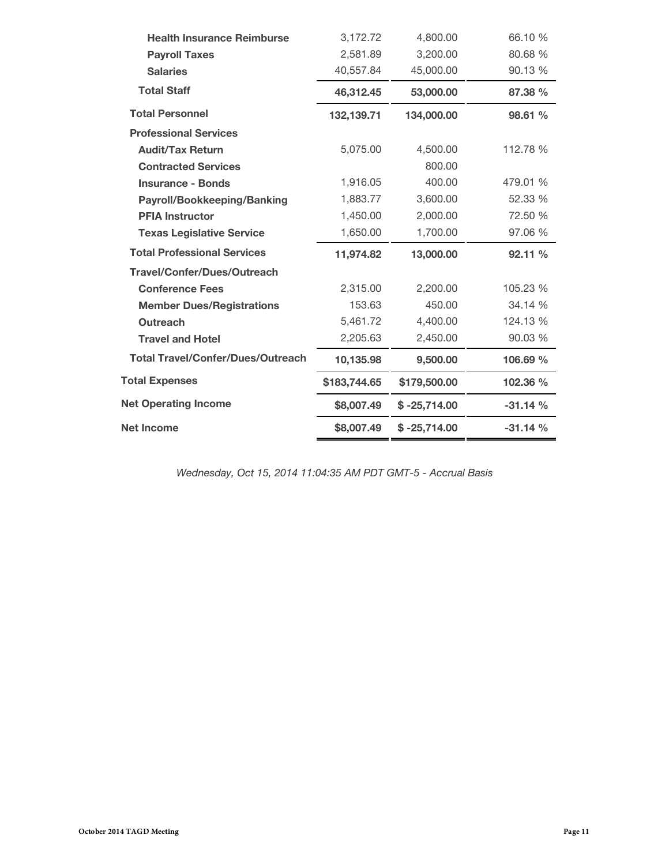| <b>Health Insurance Reimburse</b>        | 3,172.72     | 4,800.00       | 66.10 %   |
|------------------------------------------|--------------|----------------|-----------|
| <b>Payroll Taxes</b>                     | 2,581.89     | 3,200.00       | 80.68 %   |
| <b>Salaries</b>                          | 40,557.84    | 45,000.00      | 90.13 %   |
| <b>Total Staff</b>                       | 46,312.45    | 53,000.00      | 87.38 %   |
| <b>Total Personnel</b>                   | 132,139.71   | 134,000.00     | 98.61 %   |
| <b>Professional Services</b>             |              |                |           |
| <b>Audit/Tax Return</b>                  | 5,075.00     | 4,500.00       | 112.78 %  |
| <b>Contracted Services</b>               |              | 800.00         |           |
| <b>Insurance - Bonds</b>                 | 1,916.05     | 400.00         | 479.01 %  |
| Payroll/Bookkeeping/Banking              | 1,883.77     | 3,600.00       | 52.33 %   |
| <b>PFIA Instructor</b>                   | 1,450.00     | 2,000.00       | 72.50 %   |
| <b>Texas Legislative Service</b>         | 1,650.00     | 1,700.00       | 97.06 %   |
| <b>Total Professional Services</b>       | 11,974.82    | 13,000.00      | 92.11 %   |
| <b>Travel/Confer/Dues/Outreach</b>       |              |                |           |
| <b>Conference Fees</b>                   | 2,315.00     | 2,200.00       | 105.23 %  |
| <b>Member Dues/Registrations</b>         | 153.63       | 450.00         | 34.14 %   |
| <b>Outreach</b>                          | 5,461.72     | 4,400.00       | 124.13 %  |
| <b>Travel and Hotel</b>                  | 2,205.63     | 2,450.00       | 90.03 %   |
| <b>Total Travel/Confer/Dues/Outreach</b> | 10,135.98    | 9,500.00       | 106.69 %  |
| <b>Total Expenses</b>                    | \$183,744.65 | \$179,500.00   | 102.36 %  |
| <b>Net Operating Income</b>              | \$8,007.49   | $$ -25,714.00$ | $-31.14%$ |
| <b>Net Income</b>                        |              |                |           |

*Wednesday, Oct 15, 2014 11:04:35 AM PDT GMT-5 - Accrual Basis*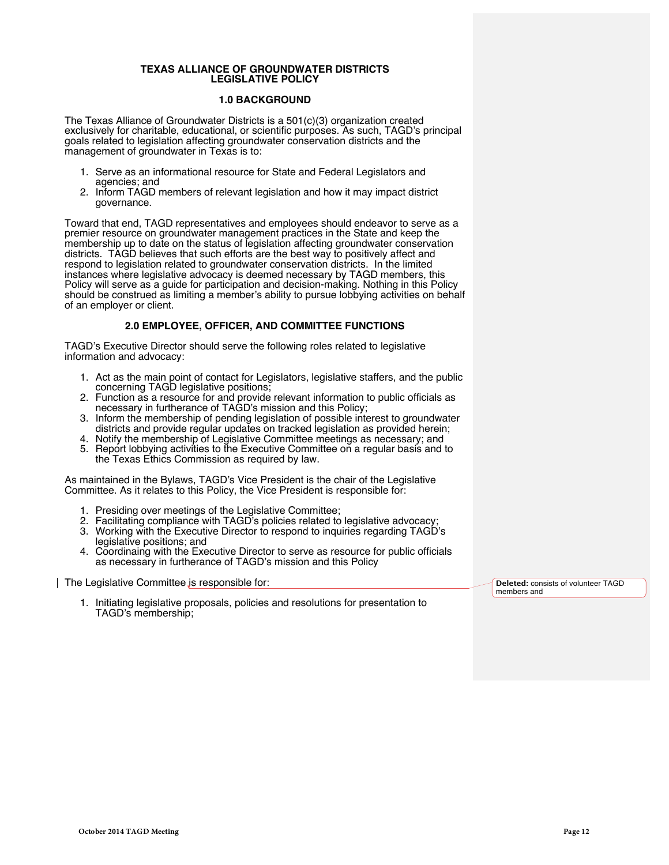#### **TEXAS ALLIANCE OF GROUNDWATER DISTRICTS LEGISLATIVE POLICY**

### **1.0 BACKGROUND**

The Texas Alliance of Groundwater Districts is a 501(c)(3) organization created exclusively for charitable, educational, or scientific purposes. As such, TAGD's principal goals related to legislation affecting groundwater conservation districts and the management of groundwater in Texas is to:

- 1. Serve as an informational resource for State and Federal Legislators and agencies; and
- 2. Inform TAGD members of relevant legislation and how it may impact district governance.

Toward that end, TAGD representatives and employees should endeavor to serve as a premier resource on groundwater management practices in the State and keep the membership up to date on the status of legislation affecting groundwater conservation districts. TAGD believes that such efforts are the best way to positively affect and respond to legislation related to groundwater conservation districts. In the limited instances where legislative advocacy is deemed necessary by TAGD members, this Policy will serve as a guide for participation and decision-making. Nothing in this Policy should be construed as limiting a member's ability to pursue lobbying activities on behalf of an employer or client.

### **2.0 EMPLOYEE, OFFICER, AND COMMITTEE FUNCTIONS**

TAGD's Executive Director should serve the following roles related to legislative information and advocacy:

- 1. Act as the main point of contact for Legislators, legislative staffers, and the public concerning TAGD legislative positions;
- 2. Function as a resource for and provide relevant information to public officials as necessary in furtherance of TAGD's mission and this Policy;
- 3. Inform the membership of pending legislation of possible interest to groundwater districts and provide regular updates on tracked legislation as provided herein;
- 4. Notify the membership of Legislative Committee meetings as necessary; and
- 5. Report lobbying activities to the Executive Committee on a regular basis and to the Texas Ethics Commission as required by law.

As maintained in the Bylaws, TAGD's Vice President is the chair of the Legislative Committee. As it relates to this Policy, the Vice President is responsible for:

- 1. Presiding over meetings of the Legislative Committee;
- 2. Facilitating compliance with TAGD's policies related to legislative advocacy;
- 3. Working with the Executive Director to respond to inquiries regarding TAGD's legislative positions; and
- 4. Coordinaing with the Executive Director to serve as resource for public officials as necessary in furtherance of TAGD's mission and this Policy

The Legislative Committee is responsible for:

1. Initiating legislative proposals, policies and resolutions for presentation to TAGD's membership;

**Deleted:** consists of volunteer TAGD members and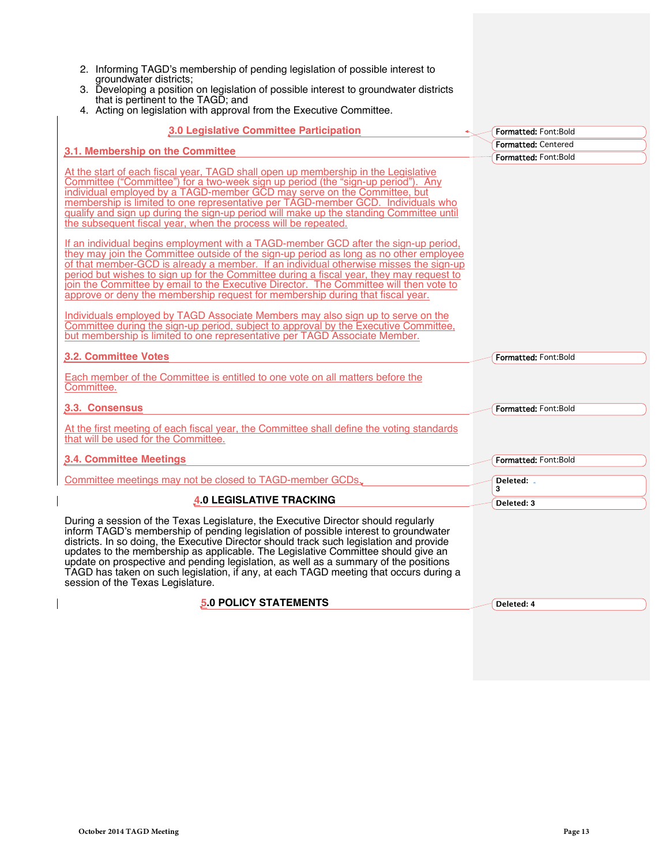| 2. Informing TAGD's membership of pending legislation of possible interest to<br>groundwater districts;<br>3. Developing a position on legislation of possible interest to groundwater districts<br>that is pertinent to the TAGD; and<br>4. Acting on legislation with approval from the Executive Committee.                                                                                                                                                                                                                                                                                                                                                                                                                                                                                                                                                                                                                                                                                                                                                                                                                                                                                                                                                                                                  |                             |
|-----------------------------------------------------------------------------------------------------------------------------------------------------------------------------------------------------------------------------------------------------------------------------------------------------------------------------------------------------------------------------------------------------------------------------------------------------------------------------------------------------------------------------------------------------------------------------------------------------------------------------------------------------------------------------------------------------------------------------------------------------------------------------------------------------------------------------------------------------------------------------------------------------------------------------------------------------------------------------------------------------------------------------------------------------------------------------------------------------------------------------------------------------------------------------------------------------------------------------------------------------------------------------------------------------------------|-----------------------------|
| 3.0 Legislative Committee Participation                                                                                                                                                                                                                                                                                                                                                                                                                                                                                                                                                                                                                                                                                                                                                                                                                                                                                                                                                                                                                                                                                                                                                                                                                                                                         | Formatted: Font:Bold        |
| 3.1. Membership on the Committee                                                                                                                                                                                                                                                                                                                                                                                                                                                                                                                                                                                                                                                                                                                                                                                                                                                                                                                                                                                                                                                                                                                                                                                                                                                                                | <b>Formatted: Centered</b>  |
| At the start of each fiscal year, TAGD shall open up membership in the Legislative<br>Committee ("Committee") for a two-week sign up period (the "sign-up period"). Any<br>individual employed by a TAGD-member GCD may serve on the Committee, but<br>membership is limited to one representative per TAGD-member GCD. Individuals who<br>qualify and sign up during the sign-up period will make up the standing Committee until<br>the subsequent fiscal year, when the process will be repeated.<br>If an individual begins employment with a TAGD-member GCD after the sign-up period,<br>they may join the Committee outside of the sign-up period as long as no other employee<br>of that member-GCD is already a member. If an individual otherwise misses the sign-up<br>period but wishes to sign up for the Committee during a fiscal year, they may request to<br>join the Committee by email to the Executive Director. The Committee will then vote to<br>approve or deny the membership request for membership during that fiscal year.<br>Individuals employed by TAGD Associate Members may also sign up to serve on the<br>Committee during the sign-up period, subject to approval by the Executive Committee,<br>but membership is limited to one representative per TAGD Associate Member. | Formatted: Font:Bold        |
| 3.2. Committee Votes                                                                                                                                                                                                                                                                                                                                                                                                                                                                                                                                                                                                                                                                                                                                                                                                                                                                                                                                                                                                                                                                                                                                                                                                                                                                                            | <b>Formatted: Font:Bold</b> |
| Each member of the Committee is entitled to one vote on all matters before the<br>Committee.                                                                                                                                                                                                                                                                                                                                                                                                                                                                                                                                                                                                                                                                                                                                                                                                                                                                                                                                                                                                                                                                                                                                                                                                                    |                             |
| 3.3. Consensus                                                                                                                                                                                                                                                                                                                                                                                                                                                                                                                                                                                                                                                                                                                                                                                                                                                                                                                                                                                                                                                                                                                                                                                                                                                                                                  | Formatted: Font:Bold        |
| At the first meeting of each fiscal year, the Committee shall define the voting standards<br>that will be used for the Committee.                                                                                                                                                                                                                                                                                                                                                                                                                                                                                                                                                                                                                                                                                                                                                                                                                                                                                                                                                                                                                                                                                                                                                                               |                             |
| 3.4. Committee Meetings                                                                                                                                                                                                                                                                                                                                                                                                                                                                                                                                                                                                                                                                                                                                                                                                                                                                                                                                                                                                                                                                                                                                                                                                                                                                                         | Formatted: Font:Bold        |
| Committee meetings may not be closed to TAGD-member GCDs.                                                                                                                                                                                                                                                                                                                                                                                                                                                                                                                                                                                                                                                                                                                                                                                                                                                                                                                                                                                                                                                                                                                                                                                                                                                       | Deleted: .<br>3             |
| <b>4.0 LEGISLATIVE TRACKING</b>                                                                                                                                                                                                                                                                                                                                                                                                                                                                                                                                                                                                                                                                                                                                                                                                                                                                                                                                                                                                                                                                                                                                                                                                                                                                                 | Deleted: 3                  |
| During a session of the Texas Legislature, the Executive Director should regularly<br>inform TAGD's membership of pending legislation of possible interest to groundwater<br>districts. In so doing, the Executive Director should track such legislation and provide<br>updates to the membership as applicable. The Legislative Committee should give an<br>update on prospective and pending legislation, as well as a summary of the positions<br>TAGD has taken on such legislation, if any, at each TAGD meeting that occurs during a<br>session of the Texas Legislature.                                                                                                                                                                                                                                                                                                                                                                                                                                                                                                                                                                                                                                                                                                                                |                             |
| <b>5.0 POLICY STATEMENTS</b>                                                                                                                                                                                                                                                                                                                                                                                                                                                                                                                                                                                                                                                                                                                                                                                                                                                                                                                                                                                                                                                                                                                                                                                                                                                                                    | Deleted: 4                  |
|                                                                                                                                                                                                                                                                                                                                                                                                                                                                                                                                                                                                                                                                                                                                                                                                                                                                                                                                                                                                                                                                                                                                                                                                                                                                                                                 |                             |

 $\overline{\phantom{a}}$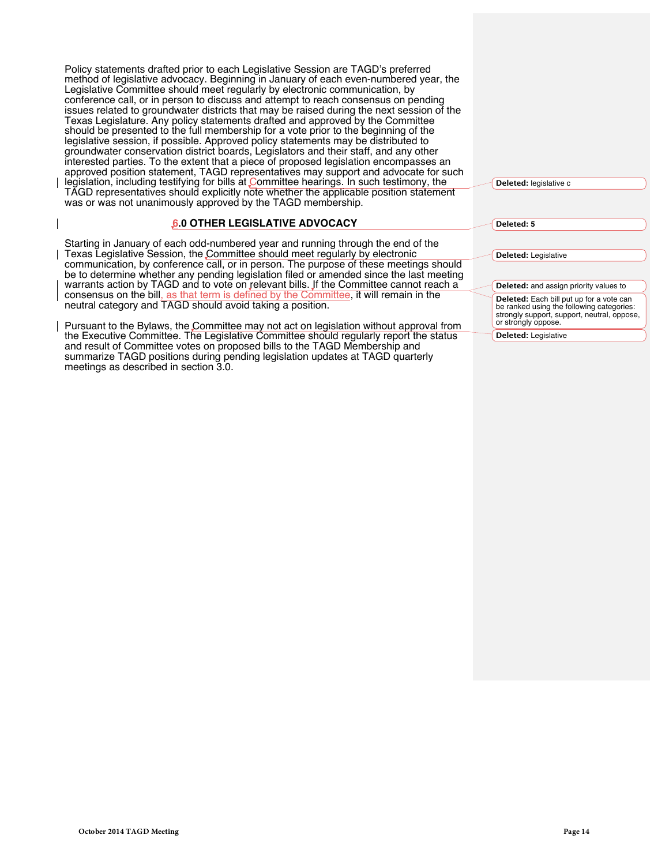Policy statements drafted prior to each Legislative Session are TAGD's preferred method of legislative advocacy. Beginning in January of each even-numbered year, the Legislative Committee should meet regularly by electronic communication, by conference call, or in person to discuss and attempt to reach consensus on pending issues related to groundwater districts that may be raised during the next session of the Texas Legislature. Any policy statements drafted and approved by the Committee should be presented to the full membership for a vote prior to the beginning of the legislative session, if possible. Approved policy statements may be distributed to groundwater conservation district boards, Legislators and their staff, and any other interested parties. To the extent that a piece of proposed legislation encompasses an approved position statement, TAGD representatives may support and advocate for such legislation, including testifying for bills at Committee hearings. In such testimony, the TAGD representatives should explicitly note whether the applicable position statement was or was not unanimously approved by the TAGD membership.

### **6.0 OTHER LEGISLATIVE ADVOCACY**

Starting in January of each odd-numbered year and running through the end of the Texas Legislative Session, the Committee should meet regularly by electronic communication, by conference call, or in person. The purpose of these meetings should be to determine whether any pending legislation filed or amended since the last meeting warrants action by TAGD and to vote on relevant bills. If the Committee cannot reach a consensus on the bill, as that term is defined by the Committee, it will remain in the neutral category and TAGD should avoid taking a position.

Pursuant to the Bylaws, the Committee may not act on legislation without approval from the Executive Committee. The Legislative Committee should regularly report the status and result of Committee votes on proposed bills to the TAGD Membership and summarize TAGD positions during pending legislation updates at TAGD quarterly meetings as described in section 3.0.

| Deleted: legislative c |
|------------------------|
|------------------------|

**Deleted: 5**

**Deleted:** Legislative

**Deleted:** and assign priority values to **Deleted:** Each bill put up for a vote can be ranked using the following categories: strongly support, support, neutral, oppose, or strongly oppose.

**Deleted:** Legislative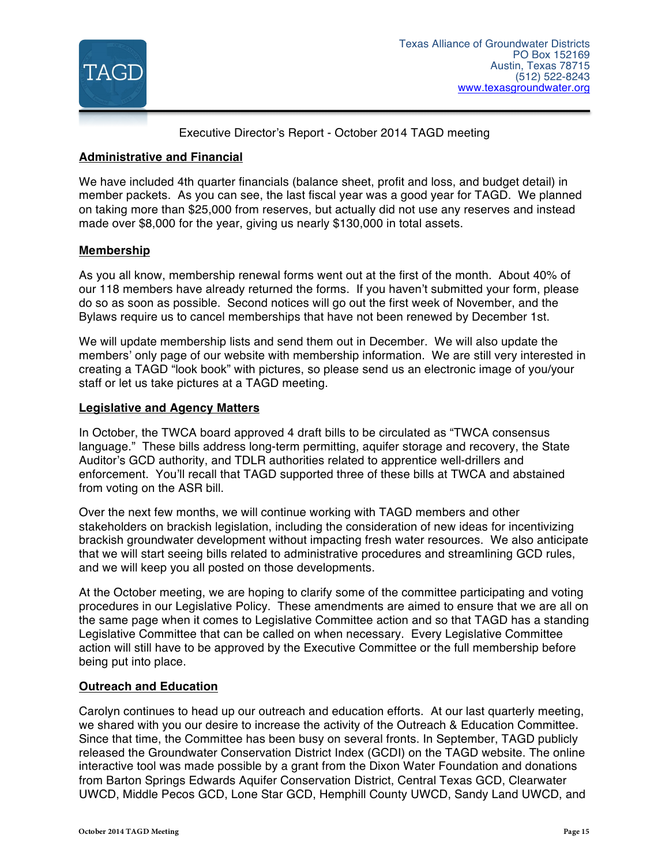

Executive Director's Report - October 2014 TAGD meeting

# **Administrative and Financial**

We have included 4th quarter financials (balance sheet, profit and loss, and budget detail) in member packets. As you can see, the last fiscal year was a good year for TAGD. We planned on taking more than \$25,000 from reserves, but actually did not use any reserves and instead made over \$8,000 for the year, giving us nearly \$130,000 in total assets.

# **Membership**

As you all know, membership renewal forms went out at the first of the month. About 40% of our 118 members have already returned the forms. If you haven't submitted your form, please do so as soon as possible. Second notices will go out the first week of November, and the Bylaws require us to cancel memberships that have not been renewed by December 1st.

We will update membership lists and send them out in December. We will also update the members' only page of our website with membership information. We are still very interested in creating a TAGD "look book" with pictures, so please send us an electronic image of you/your staff or let us take pictures at a TAGD meeting.

## **Legislative and Agency Matters**

In October, the TWCA board approved 4 draft bills to be circulated as "TWCA consensus language." These bills address long-term permitting, aquifer storage and recovery, the State Auditor's GCD authority, and TDLR authorities related to apprentice well-drillers and enforcement. You'll recall that TAGD supported three of these bills at TWCA and abstained from voting on the ASR bill.

Over the next few months, we will continue working with TAGD members and other stakeholders on brackish legislation, including the consideration of new ideas for incentivizing brackish groundwater development without impacting fresh water resources. We also anticipate that we will start seeing bills related to administrative procedures and streamlining GCD rules, and we will keep you all posted on those developments.

At the October meeting, we are hoping to clarify some of the committee participating and voting procedures in our Legislative Policy. These amendments are aimed to ensure that we are all on the same page when it comes to Legislative Committee action and so that TAGD has a standing Legislative Committee that can be called on when necessary. Every Legislative Committee action will still have to be approved by the Executive Committee or the full membership before being put into place.

## **Outreach and Education**

Carolyn continues to head up our outreach and education efforts. At our last quarterly meeting, we shared with you our desire to increase the activity of the Outreach & Education Committee. Since that time, the Committee has been busy on several fronts. In September, TAGD publicly released the Groundwater Conservation District Index (GCDI) on the TAGD website. The online interactive tool was made possible by a grant from the Dixon Water Foundation and donations from Barton Springs Edwards Aquifer Conservation District, Central Texas GCD, Clearwater UWCD, Middle Pecos GCD, Lone Star GCD, Hemphill County UWCD, Sandy Land UWCD, and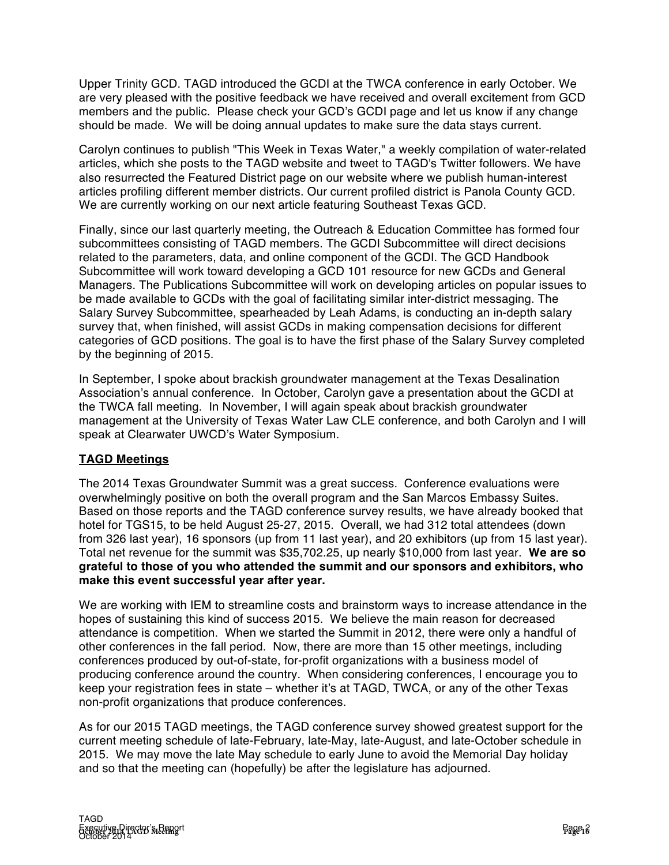Upper Trinity GCD. TAGD introduced the GCDI at the TWCA conference in early October. We are very pleased with the positive feedback we have received and overall excitement from GCD members and the public. Please check your GCD's GCDI page and let us know if any change should be made. We will be doing annual updates to make sure the data stays current.

Carolyn continues to publish "This Week in Texas Water," a weekly compilation of water-related articles, which she posts to the TAGD website and tweet to TAGD's Twitter followers. We have also resurrected the Featured District page on our website where we publish human-interest articles profiling different member districts. Our current profiled district is Panola County GCD. We are currently working on our next article featuring Southeast Texas GCD.

Finally, since our last quarterly meeting, the Outreach & Education Committee has formed four subcommittees consisting of TAGD members. The GCDI Subcommittee will direct decisions related to the parameters, data, and online component of the GCDI. The GCD Handbook Subcommittee will work toward developing a GCD 101 resource for new GCDs and General Managers. The Publications Subcommittee will work on developing articles on popular issues to be made available to GCDs with the goal of facilitating similar inter-district messaging. The Salary Survey Subcommittee, spearheaded by Leah Adams, is conducting an in-depth salary survey that, when finished, will assist GCDs in making compensation decisions for different categories of GCD positions. The goal is to have the first phase of the Salary Survey completed by the beginning of 2015.

In September, I spoke about brackish groundwater management at the Texas Desalination Association's annual conference. In October, Carolyn gave a presentation about the GCDI at the TWCA fall meeting. In November, I will again speak about brackish groundwater management at the University of Texas Water Law CLE conference, and both Carolyn and I will speak at Clearwater UWCD's Water Symposium.

# **TAGD Meetings**

The 2014 Texas Groundwater Summit was a great success. Conference evaluations were overwhelmingly positive on both the overall program and the San Marcos Embassy Suites. Based on those reports and the TAGD conference survey results, we have already booked that hotel for TGS15, to be held August 25-27, 2015. Overall, we had 312 total attendees (down from 326 last year), 16 sponsors (up from 11 last year), and 20 exhibitors (up from 15 last year). Total net revenue for the summit was \$35,702.25, up nearly \$10,000 from last year. **We are so grateful to those of you who attended the summit and our sponsors and exhibitors, who make this event successful year after year.** 

We are working with IEM to streamline costs and brainstorm ways to increase attendance in the hopes of sustaining this kind of success 2015. We believe the main reason for decreased attendance is competition. When we started the Summit in 2012, there were only a handful of other conferences in the fall period. Now, there are more than 15 other meetings, including conferences produced by out-of-state, for-profit organizations with a business model of producing conference around the country. When considering conferences, I encourage you to keep your registration fees in state – whether it's at TAGD, TWCA, or any of the other Texas non-profit organizations that produce conferences.

As for our 2015 TAGD meetings, the TAGD conference survey showed greatest support for the current meeting schedule of late-February, late-May, late-August, and late-October schedule in 2015. We may move the late May schedule to early June to avoid the Memorial Day holiday and so that the meeting can (hopefully) be after the legislature has adjourned.